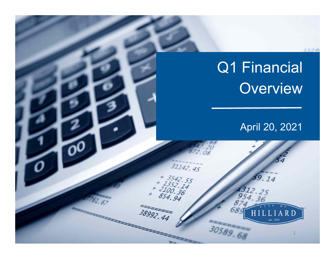# Q1 Financial Overview April 20, 2021  $31142.45$ + 3542.55<br>1352.14<br><sup>2100.36</sup><br>854.94  $9.14$  $54.94$  $38992, 44$ R D 30589.68 1

 $2.2.34$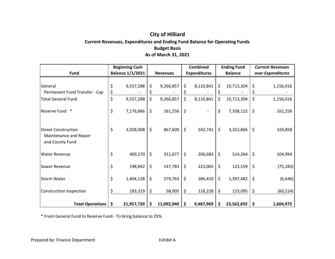# **City of Hilliard Current Revenues, Expenditures and Ending Fund Balance for Operating Funds Budget Basis As of March 31, 2021**

| <b>Fund</b>                                                             | <b>Beginning Cash</b><br><b>Balance 1/1/2021</b> |            |         | <b>Revenues</b> | <b>Combined</b><br><b>Expenditures</b> | <b>Ending Fund</b><br><b>Balance</b> | <b>Current Revenues</b><br>over Expenditures |           |  |
|-------------------------------------------------------------------------|--------------------------------------------------|------------|---------|-----------------|----------------------------------------|--------------------------------------|----------------------------------------------|-----------|--|
|                                                                         |                                                  |            |         |                 |                                        |                                      |                                              |           |  |
| General<br>Permanent Fund Transfer - Cap                                |                                                  | 9,557,288  | \$      | 9,266,857       | \$<br>8,110,841                        | \$<br>10,713,304                     |                                              | 1,156,016 |  |
| <b>Total General Fund</b>                                               | \$                                               | 9,557,288  | \$      | 9,266,857       | \$<br>8,110,841                        | \$<br>10,713,304                     | \$                                           | 1,156,016 |  |
| <b>Reserve Fund</b><br>$\ast$                                           | \$                                               | 7,176,866  | $\zeta$ | 161,256         | \$                                     | \$<br>7,338,122                      | \$                                           | 161,256   |  |
| <b>Street Construction</b><br>Maintenance and Repair<br>and County Fund | \$                                               | 3,028,008  | $\zeta$ | 867,600         | \$<br>542,741                          | \$<br>3,352,866                      | \$                                           | 324,858   |  |
| <b>Water Revenue</b>                                                    | \$                                               | 409,270    | \$      | 311,677         | \$<br>206,683                          | \$<br>514,264                        | \$                                           | 104,994   |  |
| Sewer Revenue                                                           | \$                                               | 198,842    | -\$     | 147,783         | \$<br>223,065                          | \$<br>123,559                        | $\zeta$                                      | (75, 283) |  |
| <b>Storm Water</b>                                                      | \$                                               | 1,404,128  | $\zeta$ | 279,763         | \$<br>286,410                          | \$<br>1,397,482                      | \$                                           | (6, 646)  |  |
| Construction Inspection                                                 |                                                  | 183,319    | \$      | 58,005          | \$<br>118,228                          | \$<br>123,095                        | \$                                           | (60, 224) |  |
| <b>Total Operations</b>                                                 | \$                                               | 21,957,720 | -\$     | 11,092,940      | \$<br>9,487,969                        | \$<br>23,562,692                     |                                              | 1,604,972 |  |

\* From General Fund to Reserve Fund ‐ To bring balance to 25%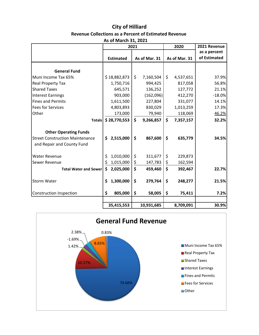## **City of Hilliard Revenue Collections as a Percent of Estimated Revenue As of March 31, 2021**

|                                                                      | AJ VI INGI VII JI, LVLI<br>2021 |         |    |               |    | 2020          | 2021 Revenue |
|----------------------------------------------------------------------|---------------------------------|---------|----|---------------|----|---------------|--------------|
|                                                                      |                                 |         |    |               |    |               | as a percent |
|                                                                      | <b>Estimated</b>                |         |    | As of Mar. 31 |    | As of Mar. 31 | of Estimated |
|                                                                      |                                 |         |    |               |    |               |              |
| <b>General Fund</b>                                                  |                                 |         |    |               |    |               |              |
| Muni Income Tax 65%                                                  | \$18,882,873                    |         | \$ | 7,160,504     | \$ | 4,537,651     | 37.9%        |
| Real Property Tax                                                    | 1,750,716                       |         |    | 994,425       |    | 817,058       | 56.8%        |
| <b>Shared Taxes</b>                                                  |                                 | 645,571 |    | 136,252       |    | 127,772       | 21.1%        |
| <b>Interest Earnings</b>                                             |                                 | 903,000 |    | (162,096)     |    | 412,270       | $-18.0%$     |
| <b>Fines and Permits</b>                                             | 1,611,500                       |         |    | 227,804       |    | 331,077       | 14.1%        |
| <b>Fees for Services</b>                                             | 4,803,893                       |         |    | 830,029       |    | 1,013,259     | 17.3%        |
| Other                                                                |                                 | 173,000 |    | 79,940        |    | 118,069       | 46.2%        |
| <b>Totals</b>                                                        | \$28,770,553                    |         | \$ | 9,266,857     | \$ | 7,357,157     | 32.2%        |
| <b>Other Operating Funds</b>                                         |                                 |         |    |               |    |               |              |
| <b>Street Construction Maintenance</b><br>and Repair and County Fund | 2,515,000<br>\$                 |         | \$ | 867,600       | \$ | 635,779       | 34.5%        |
| <b>Water Revenue</b>                                                 | 1,010,000<br>\$                 |         | \$ | 311,677       | \$ | 229,873       |              |
| Sewer Revenue                                                        | \$<br>1,015,000                 |         | \$ | 147,783       | \$ | 162,594       |              |
| <b>Total Water and Sewer</b>                                         | \$<br>2,025,000                 |         | \$ | 459,460       | \$ | 392,467       | 22.7%        |
| Storm Water                                                          | 1,300,000<br>\$                 |         | \$ | 279,764       | \$ | 248,277       | 21.5%        |
| <b>Construction Inspection</b>                                       | \$                              | 805,000 | \$ | 58,005        | \$ | 75,411        | 7.2%         |
|                                                                      | 35,415,553                      |         |    | 10,931,685    |    | 8,709,091     | 30.9%        |

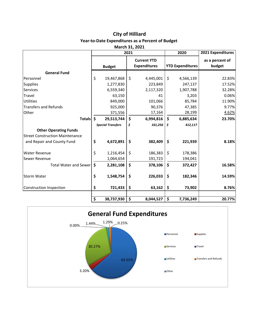# **City of Hilliard**

# **Year‐to‐Date Expenditures as a Percent of Budget**

| March 31, 2021 |  |
|----------------|--|
|                |  |

|                                        | 2021                                |                          |                    |                     |    | 2020                    | 2021 Expenditures |
|----------------------------------------|-------------------------------------|--------------------------|--------------------|---------------------|----|-------------------------|-------------------|
|                                        |                                     |                          | <b>Current YTD</b> |                     |    |                         | as a percent of   |
|                                        |                                     | <b>Budget</b>            |                    | <b>Expenditures</b> |    | <b>YTD Expenditures</b> | budget            |
| <b>General Fund</b>                    |                                     |                          |                    |                     |    |                         |                   |
| Personnel                              | \$                                  | 19,467,868               | \$                 | 4,445,001           | \$ | 4,566,139               | 22.83%            |
| <b>Supplies</b>                        |                                     | 1,277,830                |                    | 223,849             |    | 247,137                 | 17.52%            |
| <b>Services</b>                        |                                     | 6,559,340                |                    | 2,117,320           |    | 1,907,788               | 32.28%            |
| Travel                                 |                                     | 63,150                   |                    | 41                  |    | 3,203                   | 0.06%             |
| Utilities                              |                                     | 849,000                  |                    | 101,066             |    | 85,784                  | 11.90%            |
| <b>Transfers and Refunds</b>           |                                     | 925,000                  |                    | 90,376              |    | 47,385                  | 9.77%             |
| Other                                  |                                     | 371,556                  |                    | 17,164              |    | 28,199                  | 4.62%             |
| <b>Totals</b>                          | \$                                  | 29,513,744               | $\mathsf{\hat{S}}$ | 6,994,816           | \$ | 6,885,634               | 23.70%            |
|                                        |                                     | <b>Special Transfers</b> | \$                 | $161,256$ \$        |    | 412,117                 |                   |
| <b>Other Operating Funds</b>           |                                     |                          |                    |                     |    |                         |                   |
| <b>Street Construction Maintenance</b> |                                     |                          |                    |                     |    |                         |                   |
| and Repair and County Fund             | \$                                  | 4,672,891                | \$                 | 382,409             | \$ | 221,939                 | 8.18%             |
| <b>Water Revenue</b>                   | \$                                  | 1,216,454                | $\zeta$            | 186,383             | \$ | 178,386                 |                   |
| Sewer Revenue                          |                                     | 1,064,654                |                    | 191,723             |    | 194,041                 |                   |
| <b>Total Water and Sewer</b>           | \$                                  | 2,281,108                | \$                 | 378,106             | \$ | 372,427                 | 16.58%            |
| <b>Storm Water</b>                     | \$                                  | 1,548,754                | \$                 | 226,033             | \$ | 182,346                 | 14.59%            |
| Construction Inspection                | \$                                  | 721,433                  | \$                 | 63,162              | \$ | 73,902                  | 8.76%             |
|                                        |                                     |                          |                    |                     |    |                         |                   |
|                                        | $\overline{\boldsymbol{\varsigma}}$ | 38,737,930               | \$                 | 8,044,527           | \$ | 7,736,249               | 20.77%            |

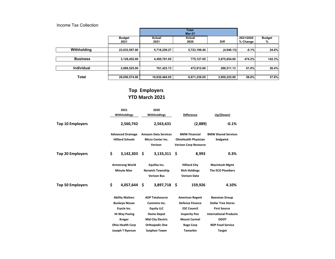#### Income Tax Collection

|                   | <b>Budget</b> | Actual        | Actual       |              | 2021/2020 | <b>Budget</b> |
|-------------------|---------------|---------------|--------------|--------------|-----------|---------------|
|                   | 2021          | 2021          | 2020         | <b>Diff</b>  | % Change  | %             |
| Withholding       | 23,033,597.00 | 5,718,259.27  | 5,723,199.40 | (4,940.13)   | $-0.1%$   | 24.8%         |
|                   |               |               |              |              |           |               |
| <b>Business</b>   | 3,128,452.00  | 4,450,781.05  | 775,127.05   | 3,675,654.00 | 474.2%    | 142.3%        |
|                   |               |               |              |              |           |               |
| <b>Individual</b> | 2,888,525.00  | 761,423.73    | 472,912.60   | 288,511.13   | 61.0%     | 26.4%         |
|                   |               |               |              |              |           |               |
| <b>Total</b>      | 29,050,574.00 | 10,930,464.05 | 6,971,239.05 | 3,959,225.00 | 56.8%     | 37.6%         |

# **Top Employers YTD March 2021**

|                         | 2021<br>Withholdings |                                                                                                         | 2020<br>Withholdings |                                                                                                                     | <b>Difference</b> |                                                                                                                       | Up/(Down)                                                                                                                |  |
|-------------------------|----------------------|---------------------------------------------------------------------------------------------------------|----------------------|---------------------------------------------------------------------------------------------------------------------|-------------------|-----------------------------------------------------------------------------------------------------------------------|--------------------------------------------------------------------------------------------------------------------------|--|
| <b>Top 10 Employers</b> |                      | 2,560,742                                                                                               |                      | 2,563,631                                                                                                           |                   | (2,889)                                                                                                               | $-0.1%$                                                                                                                  |  |
|                         |                      | <b>Advanced Drainage</b><br><b>Hilliard Schools</b>                                                     |                      | <b>Amazon Data Services</b><br><b>Micro Center Inc.</b><br>Verizon                                                  |                   | <b>BMW Financial</b><br><b>OhioHealth Physician</b><br><b>Verizon Corp Resource</b>                                   | <b>BMW Shared Services</b><br>Sedgwick                                                                                   |  |
| <b>Top 20 Employers</b> | \$                   | 3,142,303                                                                                               | \$.                  | $3,133,311$ \$                                                                                                      |                   | 8,993                                                                                                                 | 0.3%                                                                                                                     |  |
|                         |                      | <b>Armstrong World</b><br><b>Minute Man</b>                                                             |                      | Equifax Inc.<br><b>Norwich Township</b><br><b>Verizon Bus</b>                                                       |                   | <b>Hilliard City</b><br><b>Rich Holdings</b><br><b>Verizon Date</b>                                                   | <b>Macintosh Mgmt</b><br><b>The ECO Plumbers</b>                                                                         |  |
| <b>Top 50 Employers</b> | \$                   | 4,057,644                                                                                               | Ŝ                    | 3,897,718 \$                                                                                                        |                   | 159,926                                                                                                               | 4.10%                                                                                                                    |  |
|                         |                      | <b>Ability Matters</b><br><b>Buckeye Nissan</b><br>Ecycle Inc.<br><b>Hi-Way Paving</b><br><b>Kroger</b> |                      | <b>ADP Totalsource</b><br><b>Cummins Inc.</b><br><b>Equity LLC</b><br><b>Home Depot</b><br><b>Mid City Electric</b> |                   | <b>American Regent</b><br><b>Defense Finance</b><br><b>ESC Council</b><br><b>Insperity Peo</b><br><b>Mount Carmel</b> | <b>Baesman Group</b><br><b>Dollar Tree Stores</b><br><b>First Source</b><br><b>International Products</b><br><b>ODOT</b> |  |
|                         |                      | <b>Ohio Health Corp</b>                                                                                 |                      | <b>Orthopedic One</b>                                                                                               |                   | <b>Rage Corp</b>                                                                                                      | <b>RDP Food Service</b>                                                                                                  |  |
|                         |                      | Joseph T Ryerson                                                                                        |                      | <b>Sutphen Tower</b>                                                                                                |                   | <b>Tamarkin</b>                                                                                                       | <b>Target</b>                                                                                                            |  |